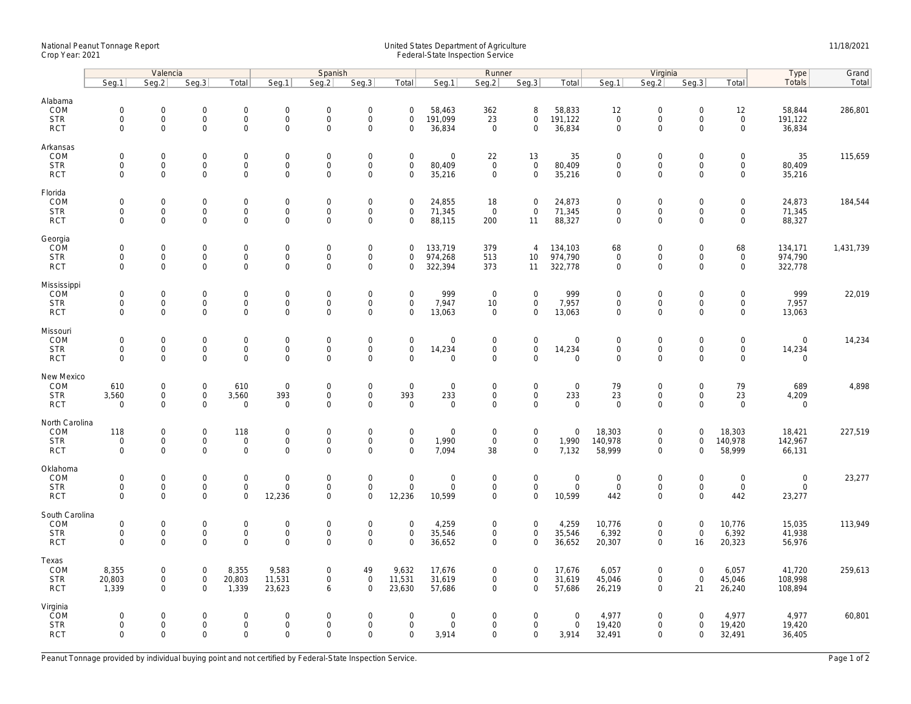## National Peanut Tonnage Report United States Department of Agriculture 11/18/2021<br>Crop Year: 2021 Federal-State Inspection Service

|                                                   | Valencia                                  |                                                           |                                                   |                                                    | Spanish                                            |                                           |                                                                   |                                           |                                              | Runner                                    |                                                           |                                      | Virginia                                          |                                                           |                                           |                                                     | Type                                  | Grand     |
|---------------------------------------------------|-------------------------------------------|-----------------------------------------------------------|---------------------------------------------------|----------------------------------------------------|----------------------------------------------------|-------------------------------------------|-------------------------------------------------------------------|-------------------------------------------|----------------------------------------------|-------------------------------------------|-----------------------------------------------------------|--------------------------------------|---------------------------------------------------|-----------------------------------------------------------|-------------------------------------------|-----------------------------------------------------|---------------------------------------|-----------|
|                                                   | Seg.1                                     | Seg.2                                                     | Seq.3                                             | Total                                              | Seg.1                                              | Seg.2                                     | Seg.3                                                             | Total                                     | Seg.1                                        | Seg.2                                     | Seg.3                                                     | Total                                | Seg.1                                             | Seg.2                                                     | Seg.3                                     | Total                                               | Totals                                | Total     |
| Alabama<br>COM<br><b>STR</b>                      | $\mathbf 0$<br>$\mathbf 0$                | 0<br>$\mathbf 0$                                          | $\mathbf 0$<br>$\mathsf 0$                        | $\mathsf{O}\xspace$<br>$\mathbf 0$                 | $\boldsymbol{0}$<br>$\mathsf{O}$                   | $\mathbf 0$<br>$\mathsf 0$                | $\mathbf 0$<br>$\mathsf 0$                                        | $\mathbf 0$<br>$\mathbf 0$                | 58,463<br>191,099                            | 362<br>23                                 | 8<br>$\mathbf 0$                                          | 58,833<br>191,122                    | 12<br>$\mathbf 0$                                 | $\mathbf 0$<br>$\mathsf{O}$                               | $\mathbf 0$<br>$\mathbf 0$                | 12<br>$\mathsf 0$                                   | 58,844<br>191,122                     | 286,801   |
| <b>RCT</b>                                        | $\mathbf 0$                               | $\mathbf 0$                                               | $\mathbf 0$                                       | $\mathbf{0}$                                       | $\mathbf 0$                                        | $\mathbf 0$                               | $\mathbf 0$                                                       | $\mathbf 0$                               | 36,834                                       | $\mathbf{0}$                              | $\mathbf{0}$                                              | 36,834                               | $\mathbf 0$                                       | $\mathbf 0$                                               | $\mathbf 0$                               | $\mathbf{0}$                                        | 36,834                                |           |
| Arkansas<br>COM<br><b>STR</b><br><b>RCT</b>       | $\mathbf 0$<br>$\mathbf 0$<br>$\mathbf 0$ | $\mathsf{O}\xspace$<br>$\mathbf 0$<br>$\mathbf 0$         | $\mathsf{O}\xspace$<br>$\mathbf 0$<br>$\mathbf 0$ | $\mathsf{O}\xspace$<br>$\mathbf 0$<br>$\mathbf 0$  | $\mathbf 0$<br>$\mathbf 0$<br>$\mathsf 0$          | $\mathbf 0$<br>$\mathbf 0$<br>$\mathbf 0$ | $\mathsf{O}\xspace$<br>$\mathbf 0$<br>$\mathbf 0$                 | $\mathbf 0$<br>$\mathbf 0$<br>$\mathbf 0$ | $\mathsf{O}\xspace$<br>80,409<br>35,216      | 22<br>$\mathbf{0}$<br>$\mathbf 0$         | 13<br>$\mathbf 0$<br>$\mathbf 0$                          | 35<br>80,409<br>35,216               | $\mathbf 0$<br>$\mathbf 0$<br>$\mathbf 0$         | $\mathsf{O}\xspace$<br>$\mathbf 0$<br>$\mathbf 0$         | $\mathbf 0$<br>$\mathbf 0$<br>$\mathbf 0$ | $\mathsf{O}\xspace$<br>$\mathbf 0$<br>$\mathbf 0$   | 35<br>80,409<br>35,216                | 115,659   |
| Florida<br>COM<br><b>STR</b><br><b>RCT</b>        | $\mathbf 0$<br>$\mathbf 0$<br>$\mathbf 0$ | $\mathsf{O}\xspace$<br>$\mathsf{O}\xspace$<br>$\mathbf 0$ | $\mathbf 0$<br>$\mathbf 0$<br>$\mathbf 0$         | $\mathbf 0$<br>$\mathsf{O}\xspace$<br>$\mathbf 0$  | $\mathbf 0$<br>$\mathsf{O}$<br>$\mathbf 0$         | $\mathbf 0$<br>$\mathsf 0$<br>$\mathbf 0$ | $\mathsf{O}\xspace$<br>$\mathsf{O}\xspace$<br>$\mathbf 0$         | $\mathbf 0$<br>$\mathbf 0$<br>$\mathbf 0$ | 24,855<br>71,345<br>88,115                   | 18<br>$\mathsf 0$<br>200                  | $\mathbf 0$<br>$\mathbf 0$<br>11                          | 24,873<br>71,345<br>88,327           | $\mathbf 0$<br>$\mathbf 0$<br>$\mathbf 0$         | $\mathsf{O}\xspace$<br>$\mathsf{O}\xspace$<br>$\Omega$    | $\mathsf 0$<br>$\mathbf 0$<br>$\Omega$    | $\mathsf{O}\xspace$<br>$\mathbf 0$<br>$\mathbf 0$   | 24,873<br>71,345<br>88,327            | 184,544   |
| Georgia<br>COM<br><b>STR</b><br><b>RCT</b>        | $\mathbf 0$<br>0<br>$\Omega$              | $\mathbf 0$<br>$\mathbf 0$<br>$\Omega$                    | $\mathbf 0$<br>$\mathbf 0$<br>$\Omega$            | $\mathbf 0$<br>$\mathbf 0$<br>$\mathbf 0$          | $\mathbf 0$<br>$\mathbf 0$<br>$\Omega$             | $\mathbf 0$<br>$\mathbf 0$<br>$\Omega$    | $\mathsf{O}\xspace$<br>$\mathbf 0$<br>$\Omega$                    | $\mathbf 0$<br>$\mathbf 0$<br>$\Omega$    | 133,719<br>974,268<br>322,394                | 379<br>513<br>373                         | $\overline{4}$<br>10<br>11                                | 134,103<br>974,790<br>322,778        | 68<br>$\mathbf 0$<br>$\mathbf 0$                  | $\mathsf{O}\xspace$<br>$\mathbf 0$<br>$\Omega$            | $\mathsf 0$<br>$\mathbf 0$<br>$\Omega$    | 68<br>$\mathbf 0$<br>$\Omega$                       | 134,171<br>974,790<br>322,778         | 1,431,739 |
| Mississippi<br>COM<br><b>STR</b><br><b>RCT</b>    | $\mathbf 0$<br>$\mathbf 0$<br>$\mathbf 0$ | $\mathbf 0$<br>$\mathsf{O}\xspace$<br>$\mathbf 0$         | $\mathbf 0$<br>$\mathbf 0$<br>$\mathbf 0$         | 0<br>0<br>$\mathbf{O}$                             | $\mathsf{O}$<br>$\mathsf{O}\xspace$<br>$\mathbf 0$ | $\mathbf 0$<br>$\mathbf 0$<br>$\mathbf 0$ | $\mathsf{O}\xspace$<br>$\mathsf{O}\xspace$<br>$\mathbf 0$         | $\mathbf 0$<br>$\mathbf 0$<br>$\mathbf 0$ | 999<br>7,947<br>13,063                       | $\overline{0}$<br>10<br>$\mathbf 0$       | $\mathsf{O}\xspace$<br>$\mathsf{O}\xspace$<br>$\mathbf 0$ | 999<br>7,957<br>13,063               | $\mathbf 0$<br>$\mathbf 0$<br>$\mathbf 0$         | $\mathbf 0$<br>$\mathsf{O}\xspace$<br>$\mathbf 0$         | $\mathbf 0$<br>0<br>$\mathbf 0$           | $\mathsf{O}\xspace$<br>$\mathsf{O}$<br>$\mathbf{0}$ | 999<br>7,957<br>13,063                | 22,019    |
| Missouri<br>COM<br><b>STR</b><br><b>RCT</b>       | $\mathbf 0$<br>$\mathbf 0$<br>$\mathbf 0$ | $\mathsf{O}\xspace$<br>$\mathbf 0$<br>$\mathsf{O}\xspace$ | $\mathbf 0$<br>$\mathbf 0$<br>0                   | $\mathsf{O}\xspace$<br>$\mathbf{0}$<br>$\mathbf 0$ | $\mathbf 0$<br>$\mathbf 0$<br>$\mathbf 0$          | $\mathbf 0$<br>$\mathbf 0$<br>$\mathsf 0$ | $\mathsf{O}\xspace$<br>$\mathbf 0$<br>$\mathsf{O}\xspace$         | $\mathbf 0$<br>$\mathbf 0$<br>$\Omega$    | $\mathbf 0$<br>14,234<br>$\mathsf{O}\xspace$ | $\mathbf 0$<br>$\mathbf 0$<br>0           | $\mathbf 0$<br>$\mathbf{0}$<br>$\mathbf 0$                | $\mathbf 0$<br>14,234<br>$\mathbf 0$ | $\mathbf 0$<br>$\mathbf 0$<br>$\mathsf{O}\xspace$ | $\mathbf 0$<br>$\mathbf 0$<br>$\mathbf 0$                 | $\mathbf 0$<br>$\mathbf 0$<br>$\mathbf 0$ | $\mathbf 0$<br>$\mathbf{0}$<br>$\mathsf{O}\xspace$  | $\mathbf{0}$<br>14,234<br>$\mathbf 0$ | 14,234    |
| New Mexico<br>COM<br><b>STR</b><br><b>RCT</b>     | 610<br>3,560<br>$\mathbf 0$               | $\mathbf 0$<br>$\mathsf{O}\xspace$<br>$\mathsf{O}\xspace$ | $\mathbf 0$<br>$\mathsf{O}\xspace$<br>$\mathbf 0$ | 610<br>3,560<br>$\mathbf 0$                        | $\mathbf 0$<br>393<br>$\mathbf 0$                  | $\mathbf 0$<br>$\mathsf 0$<br>$\mathbf 0$ | $\boldsymbol{0}$<br>$\mathsf{O}\xspace$<br>$\mathbf 0$            | $\mathbf 0$<br>393<br>$\mathbf 0$         | $\mathbf 0$<br>233<br>$\mathbf 0$            | $\mathbf 0$<br>$\mathbf 0$<br>$\mathbf 0$ | $\mathbf 0$<br>$\mathbf 0$<br>$\mathbf 0$                 | $\mathbf 0$<br>233<br>$\mathbf 0$    | 79<br>23<br>$\mathbf 0$                           | $\mathbf 0$<br>$\mathsf{O}\xspace$<br>$\mathbf 0$         | $\mathbf 0$<br>0<br>$\mathbf 0$           | 79<br>23<br>$\mathbf 0$                             | 689<br>4,209<br>$\overline{0}$        | 4,898     |
| North Carolina<br>COM<br><b>STR</b><br><b>RCT</b> | 118<br>$\mathbf 0$<br>$\mathbf 0$         | $\mathsf{O}\xspace$<br>$\mathbf 0$<br>$\mathsf{O}\xspace$ | $\mathbf 0$<br>$\mathbf 0$<br>0                   | 118<br>$\mathbf 0$<br>$\mathsf{O}\xspace$          | $\mathbf 0$<br>$\mathbf 0$<br>$\mathbf 0$          | $\mathbf 0$<br>$\mathbf 0$<br>$\mathbf 0$ | $\mathsf{O}\xspace$<br>$\mathsf{O}\xspace$<br>$\mathbf 0$         | $\mathsf 0$<br>$\mathbf 0$<br>$\mathbf 0$ | $\mathsf{O}\xspace$<br>1,990<br>7,094        | $\mathbf 0$<br>$\mathbf 0$<br>38          | $\mathsf{O}\xspace$<br>$\mathbf 0$<br>$\mathbf{0}$        | $\mathbf 0$<br>1,990<br>7,132        | 18,303<br>140,978<br>58,999                       | $\mathsf{O}\xspace$<br>$\mathbf 0$<br>$\mathbf 0$         | $\mathbf 0$<br>$\mathbf 0$<br>$\Omega$    | 18,303<br>140,978<br>58,999                         | 18,421<br>142,967<br>66,131           | 227,519   |
| Oklahoma<br>COM<br><b>STR</b><br><b>RCT</b>       | $\mathbf 0$<br>$\mathbf 0$<br>$\Omega$    | 0<br>$\mathbf 0$<br>$\mathbf 0$                           | $\mathbf 0$<br>$\mathsf 0$<br>$\mathbf 0$         | $\mathbf 0$<br>$\mathbf 0$<br>$\mathbf{O}$         | $\boldsymbol{0}$<br>$\mathbf 0$<br>12,236          | $\mathbf 0$<br>$\mathbf 0$<br>$\Omega$    | $\mathbf 0$<br>$\mathsf{O}\xspace$<br>$\mathbf 0$                 | $\mathbf 0$<br>$\mathbf 0$<br>12,236      | $\mathsf{O}\xspace$<br>$\mathbf 0$<br>10,599 | $\mathbf 0$<br>$\mathbf 0$<br>$\mathbf 0$ | $\mathbf 0$<br>$\mathbf 0$<br>$\mathbf{0}$                | $\mathbf 0$<br>$\mathsf 0$<br>10,599 | $\mathbf 0$<br>$\overline{0}$<br>442              | $\mathbf 0$<br>$\mathsf{O}\xspace$<br>$\mathsf{O}\xspace$ | $\mathbf 0$<br>$\mathbf 0$<br>$\Omega$    | $\mathsf{O}\xspace$<br>$\mathbf 0$<br>442           | $\mathbf 0$<br>$\mathbf 0$<br>23,277  | 23,277    |
| South Carolina<br>COM<br><b>STR</b><br><b>RCT</b> | $\mathbf 0$<br>$\mathbf 0$<br>$\Omega$    | $\mathsf{O}\xspace$<br>$\mathbf 0$<br>$\Omega$            | $\mathbf 0$<br>$\mathbf 0$<br>$\Omega$            | $\mathsf{O}\xspace$<br>$\mathbf 0$<br>$\mathsf{O}$ | $\boldsymbol{0}$<br>$\mathsf 0$<br>$\mathbf 0$     | $\mathbf 0$<br>$\mathbf 0$<br>$\mathbf 0$ | $\mathsf{O}\xspace$<br>$\mathsf{O}\xspace$<br>$\mathsf{O}\xspace$ | $\mathbf 0$<br>$\mathbf 0$<br>$\Omega$    | 4,259<br>35,546<br>36,652                    | $\mathbf 0$<br>$\mathbf 0$<br>0           | $\mathsf{O}\xspace$<br>$\mathbf 0$<br>$\mathbf 0$         | 4,259<br>35,546<br>36,652            | 10,776<br>6,392<br>20,307                         | $\mathsf{O}\xspace$<br>$\mathbf 0$<br>$\mathsf{O}\xspace$ | $\mathbf 0$<br>$\mathbf 0$<br>16          | 10,776<br>6,392<br>20,323                           | 15,035<br>41,938<br>56,976            | 113,949   |
| Texas<br>COM<br><b>STR</b><br><b>RCT</b>          | 8,355<br>20,803<br>1,339                  | 0<br>$\mathsf{O}\xspace$<br>$\mathbf 0$                   | $\mathbf 0$<br>$\mathsf{O}$<br>$\mathbf 0$        | 8,355<br>20,803<br>1,339                           | 9,583<br>11,531<br>23,623                          | $\mathbf 0$<br>$\mathsf 0$<br>6           | 49<br>$\mathsf 0$<br>$\mathbf 0$                                  | 9,632<br>11,531<br>23,630                 | 17,676<br>31,619<br>57,686                   | $\mathbf 0$<br>$\mathbf 0$<br>$\mathbf 0$ | $\overline{0}$<br>$\mathbf 0$<br>$\mathbf 0$              | 17,676<br>31,619<br>57,686           | 6,057<br>45,046<br>26,219                         | $\mathsf{O}\xspace$<br>$\mathsf{O}\xspace$<br>$\mathbf 0$ | $\mathbf 0$<br>$\mathsf 0$<br>21          | 6,057<br>45,046<br>26,240                           | 41,720<br>108,998<br>108,894          | 259,613   |
| Virginia<br>ČOM<br><b>STR</b><br><b>RCT</b>       | $\mathbf 0$<br>$\mathbf 0$<br>$\mathbf 0$ | $\mathbf 0$<br>$\mathbf 0$<br>$\mathbf{0}$                | $\mathbf 0$<br>$\mathbf 0$<br>$\mathbf 0$         | $\mathsf{O}\xspace$<br>$\mathbf 0$<br>$\mathbf 0$  | $\mathbf 0$<br>$\mathbf 0$<br>$\mathbf 0$          | $\mathbf 0$<br>$\mathbf 0$<br>$\Omega$    | $\mathsf{O}\xspace$<br>$\mathbf 0$<br>$\mathbf 0$                 | $\mathbf 0$<br>$\mathbf 0$<br>$\mathbf 0$ | $\mathsf{O}\xspace$<br>$\mathbf 0$<br>3,914  | $\mathbf 0$<br>$\mathbf 0$<br>$\mathbf 0$ | $\mathsf{O}\xspace$<br>$\mathbf 0$<br>0                   | $\mathbf 0$<br>$\mathbf 0$<br>3,914  | 4,977<br>19,420<br>32,491                         | $\mathsf{O}\xspace$<br>$\mathbf 0$<br>$\mathbf 0$         | $\mathbf 0$<br>$\mathbf 0$<br>$\mathbf 0$ | 4,977<br>19,420<br>32,491                           | 4,977<br>19,420<br>36,405             | 60,801    |